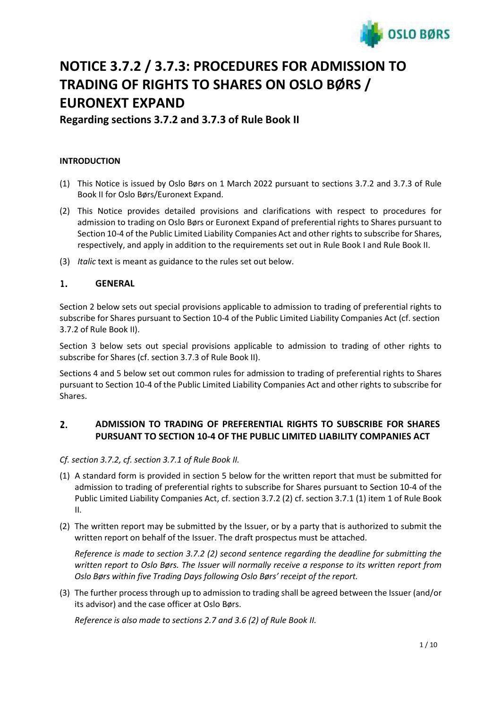

# **NOTICE 3.7.2 / 3.7.3: PROCEDURES FOR ADMISSION TO TRADING OF RIGHTS TO SHARES ON OSLO BØRS / EURONEXT EXPAND**

**Regarding sections 3.7.2 and 3.7.3 of Rule Book II**

# **INTRODUCTION**

- (1) This Notice is issued by Oslo Børs on 1 March 2022 pursuant to sections 3.7.2 and 3.7.3 of Rule Book II for Oslo Børs/Euronext Expand.
- (2) This Notice provides detailed provisions and clarifications with respect to procedures for admission to trading on Oslo Børs or Euronext Expand of preferential rights to Shares pursuant to Section 10-4 of the Public Limited Liability Companies Act and other rights to subscribe for Shares, respectively, and apply in addition to the requirements set out in Rule Book I and Rule Book II.
- (3) *Italic* text is meant as guidance to the rules set out below.

#### $\mathbf{1}$ . **GENERAL**

Section 2 below sets out special provisions applicable to admission to trading of preferential rights to subscribe for Shares pursuant to Section 10-4 of the Public Limited Liability Companies Act (cf. section 3.7.2 of Rule Book II).

Section 3 below sets out special provisions applicable to admission to trading of other rights to subscribe for Shares (cf. section 3.7.3 of Rule Book II).

Sections 4 and 5 below set out common rules for admission to trading of preferential rights to Shares pursuant to Section 10-4 of the Public Limited Liability Companies Act and other rights to subscribe for Shares.

#### 2. **ADMISSION TO TRADING OF PREFERENTIAL RIGHTS TO SUBSCRIBE FOR SHARES PURSUANT TO SECTION 10-4 OF THE PUBLIC LIMITED LIABILITY COMPANIES ACT**

*Cf. section 3.7.2, cf. section 3.7.1 of Rule Book II.*

- (1) A standard form is provided in section 5 below for the written report that must be submitted for admission to trading of preferential rights to subscribe for Shares pursuant to Section 10-4 of the Public Limited Liability Companies Act, cf. section 3.7.2 (2) cf. section 3.7.1 (1) item 1 of Rule Book II.
- (2) The written report may be submitted by the Issuer, or by a party that is authorized to submit the written report on behalf of the Issuer. The draft prospectus must be attached.

*Reference is made to section 3.7.2 (2) second sentence regarding the deadline for submitting the written report to Oslo Børs. The Issuer will normally receive a response to its written report from Oslo Børs within five Trading Days following Oslo Børs' receipt of the report.*

(3) The further processthrough up to admission to trading shall be agreed between the Issuer (and/or its advisor) and the case officer at Oslo Børs.

*Reference is also made to sections 2.7 and 3.6 (2) of Rule Book II.*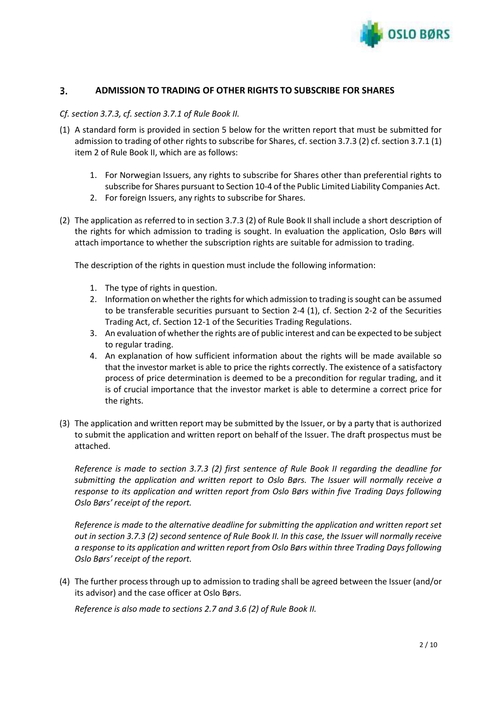

#### 3. **ADMISSION TO TRADING OF OTHER RIGHTS TO SUBSCRIBE FOR SHARES**

## *Cf. section 3.7.3, cf. section 3.7.1 of Rule Book II.*

- (1) A standard form is provided in section 5 below for the written report that must be submitted for admission to trading of other rights to subscribe for Shares, cf. section 3.7.3 (2) cf. section 3.7.1 (1) item 2 of Rule Book II, which are as follows:
	- 1. For Norwegian Issuers, any rights to subscribe for Shares other than preferential rights to subscribe for Shares pursuant to Section 10-4 of the Public Limited Liability Companies Act.
	- 2. For foreign Issuers, any rights to subscribe for Shares.
- (2) The application as referred to in section 3.7.3 (2) of Rule Book II shall include a short description of the rights for which admission to trading is sought. In evaluation the application, Oslo Børs will attach importance to whether the subscription rights are suitable for admission to trading.

The description of the rights in question must include the following information:

- 1. The type of rights in question.
- 2. Information on whether the rights for which admission to trading is sought can be assumed to be transferable securities pursuant to Section 2-4 (1), cf. Section 2-2 of the Securities Trading Act, cf. Section 12-1 of the Securities Trading Regulations.
- 3. An evaluation of whether the rights are of public interest and can be expected to be subject to regular trading.
- 4. An explanation of how sufficient information about the rights will be made available so that the investor market is able to price the rights correctly. The existence of a satisfactory process of price determination is deemed to be a precondition for regular trading, and it is of crucial importance that the investor market is able to determine a correct price for the rights.
- (3) The application and written report may be submitted by the Issuer, or by a party that is authorized to submit the application and written report on behalf of the Issuer. The draft prospectus must be attached.

*Reference is made to section 3.7.3 (2) first sentence of Rule Book II regarding the deadline for submitting the application and written report to Oslo Børs. The Issuer will normally receive a response to its application and written report from Oslo Børs within five Trading Days following Oslo Børs' receipt of the report.*

*Reference is made to the alternative deadline for submitting the application and written report set* out in section 3.7.3 (2) second sentence of Rule Book II. In this case, the Issuer will normally receive *a response to its application and written report from Oslo Børs within three Trading Days following Oslo Børs' receipt of the report.*

(4) The further processthrough up to admission to trading shall be agreed between the Issuer (and/or its advisor) and the case officer at Oslo Børs.

*Reference is also made to sections 2.7 and 3.6 (2) of Rule Book II.*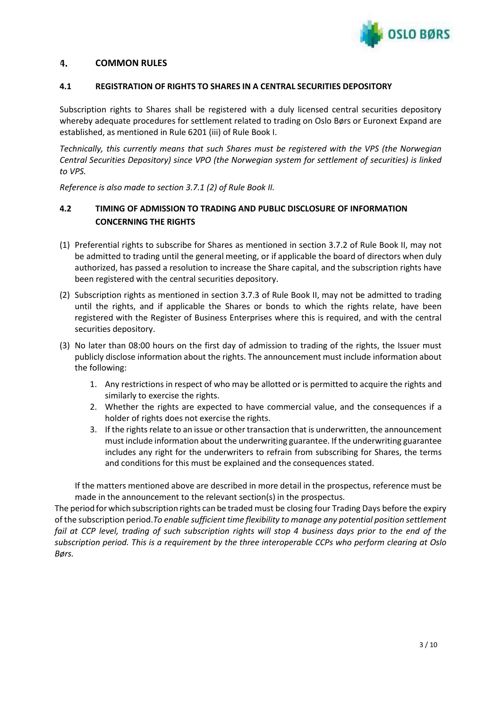

#### 4. **COMMON RULES**

## **4.1 REGISTRATION OF RIGHTS TO SHARES IN A CENTRAL SECURITIES DEPOSITORY**

Subscription rights to Shares shall be registered with a duly licensed central securities depository whereby adequate procedures for settlement related to trading on Oslo Børs or Euronext Expand are established, as mentioned in Rule 6201 (iii) of Rule Book I.

*Technically, this currently means that such Shares must be registered with the VPS (the Norwegian Central Securities Depository) since VPO (the Norwegian system for settlement of securities) is linked to VPS.*

*Reference is also made to section 3.7.1 (2) of Rule Book II.*

# **4.2 TIMING OF ADMISSION TO TRADING AND PUBLIC DISCLOSURE OF INFORMATION CONCERNING THE RIGHTS**

- (1) Preferential rights to subscribe for Shares as mentioned in section 3.7.2 of Rule Book II, may not be admitted to trading until the general meeting, or if applicable the board of directors when duly authorized, has passed a resolution to increase the Share capital, and the subscription rights have been registered with the central securities depository.
- (2) Subscription rights as mentioned in section 3.7.3 of Rule Book II, may not be admitted to trading until the rights, and if applicable the Shares or bonds to which the rights relate, have been registered with the Register of Business Enterprises where this is required, and with the central securities depository.
- (3) No later than 08:00 hours on the first day of admission to trading of the rights, the Issuer must publicly disclose information about the rights. The announcement must include information about the following:
	- 1. Any restrictions in respect of who may be allotted or is permitted to acquire the rights and similarly to exercise the rights.
	- 2. Whether the rights are expected to have commercial value, and the consequences if a holder of rights does not exercise the rights.
	- 3. If the rights relate to an issue or other transaction that is underwritten, the announcement must include information about the underwriting guarantee. If the underwriting guarantee includes any right for the underwriters to refrain from subscribing for Shares, the terms and conditions for this must be explained and the consequences stated.

If the matters mentioned above are described in more detail in the prospectus, reference must be made in the announcement to the relevant section(s) in the prospectus.

The period forwhich subscription rights can be traded must be closing four Trading Days before the expiry of the subscription period.*To enable sufficient time flexibility to manage any potential position settlement fail at CCP level, trading of such subscription rights will stop 4 business days prior to the end of the subscription period. This is a requirement by the three interoperable CCPs who perform clearing at Oslo Børs.*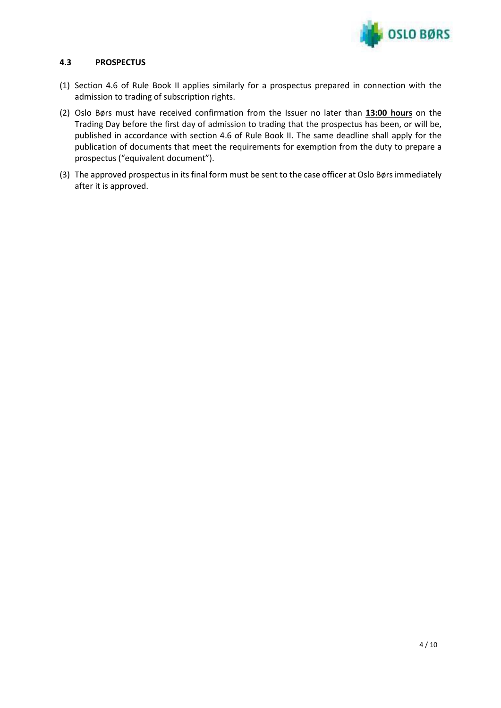

## **4.3 PROSPECTUS**

- (1) Section 4.6 of Rule Book II applies similarly for a prospectus prepared in connection with the admission to trading of subscription rights.
- (2) Oslo Børs must have received confirmation from the Issuer no later than **13:00 hours** on the Trading Day before the first day of admission to trading that the prospectus has been, or will be, published in accordance with section 4.6 of Rule Book II. The same deadline shall apply for the publication of documents that meet the requirements for exemption from the duty to prepare a prospectus ("equivalent document").
- (3) The approved prospectus in its final form must be sent to the case officer at Oslo Børs immediately after it is approved.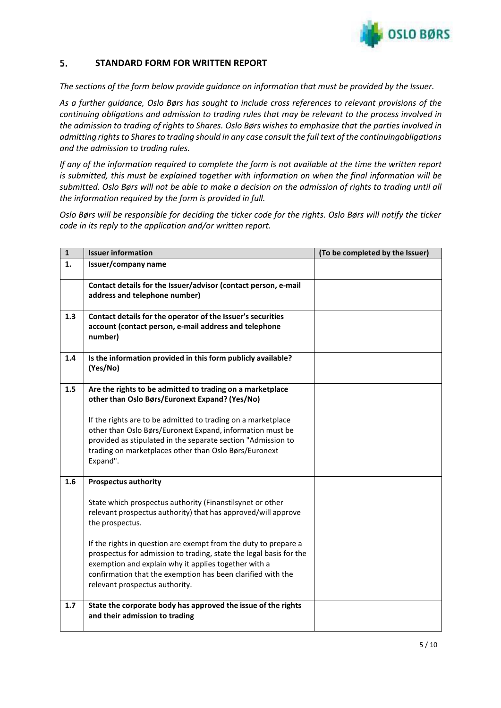

#### 5. **STANDARD FORM FOR WRITTEN REPORT**

*The sections of the form below provide guidance on information that must be provided by the Issuer.*

*As a further guidance, Oslo Børs has sought to include cross references to relevant provisions of the continuing obligations and admission to trading rules that may be relevant to the process involved in* the admission to trading of rights to Shares. Oslo Børs wishes to emphasize that the parties involved in *admitting rightsto Sharesto trading should in any case consult the full text of the continuingobligations and the admission to trading rules.*

*If any of the information required to complete the form is not available at the time the written report is submitted, this must be explained together with information on when the final information will be submitted. Oslo Børs will not be able to make a decision on the admission of rights to trading until all the information required by the form is provided in full.*

*Oslo Børs will be responsible for deciding the ticker code for the rights. Oslo Børs will notify the ticker code in its reply to the application and/or written report.*

| $\mathbf{1}$ | <b>Issuer information</b>                                                                                                                                                                                                                                                                      | (To be completed by the Issuer) |
|--------------|------------------------------------------------------------------------------------------------------------------------------------------------------------------------------------------------------------------------------------------------------------------------------------------------|---------------------------------|
| 1.           | Issuer/company name                                                                                                                                                                                                                                                                            |                                 |
|              | Contact details for the Issuer/advisor (contact person, e-mail<br>address and telephone number)                                                                                                                                                                                                |                                 |
| 1.3          | Contact details for the operator of the Issuer's securities<br>account (contact person, e-mail address and telephone<br>number)                                                                                                                                                                |                                 |
| 1.4          | Is the information provided in this form publicly available?<br>(Yes/No)                                                                                                                                                                                                                       |                                 |
| 1.5          | Are the rights to be admitted to trading on a marketplace<br>other than Oslo Børs/Euronext Expand? (Yes/No)                                                                                                                                                                                    |                                 |
|              | If the rights are to be admitted to trading on a marketplace<br>other than Oslo Børs/Euronext Expand, information must be<br>provided as stipulated in the separate section "Admission to<br>trading on marketplaces other than Oslo Børs/Euronext<br>Expand".                                 |                                 |
| 1.6          | <b>Prospectus authority</b>                                                                                                                                                                                                                                                                    |                                 |
|              | State which prospectus authority (Finanstilsynet or other<br>relevant prospectus authority) that has approved/will approve<br>the prospectus.                                                                                                                                                  |                                 |
|              | If the rights in question are exempt from the duty to prepare a<br>prospectus for admission to trading, state the legal basis for the<br>exemption and explain why it applies together with a<br>confirmation that the exemption has been clarified with the<br>relevant prospectus authority. |                                 |
| 1.7          | State the corporate body has approved the issue of the rights<br>and their admission to trading                                                                                                                                                                                                |                                 |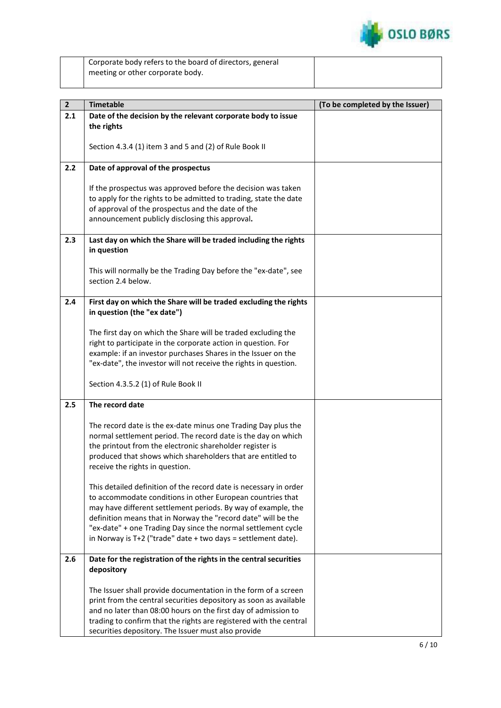

| Corporate body refers to the board of directors, general |
|----------------------------------------------------------|
| meeting or other corporate body.                         |

| 2 <sup>1</sup> | <b>Timetable</b>                                                                                                                  | (To be completed by the Issuer) |
|----------------|-----------------------------------------------------------------------------------------------------------------------------------|---------------------------------|
| 2.1            | Date of the decision by the relevant corporate body to issue                                                                      |                                 |
|                | the rights                                                                                                                        |                                 |
|                |                                                                                                                                   |                                 |
|                | Section 4.3.4 (1) item 3 and 5 and (2) of Rule Book II                                                                            |                                 |
|                |                                                                                                                                   |                                 |
| 2.2            | Date of approval of the prospectus                                                                                                |                                 |
|                |                                                                                                                                   |                                 |
|                | If the prospectus was approved before the decision was taken<br>to apply for the rights to be admitted to trading, state the date |                                 |
|                | of approval of the prospectus and the date of the                                                                                 |                                 |
|                | announcement publicly disclosing this approval.                                                                                   |                                 |
|                |                                                                                                                                   |                                 |
| 2.3            | Last day on which the Share will be traded including the rights                                                                   |                                 |
|                | in question                                                                                                                       |                                 |
|                |                                                                                                                                   |                                 |
|                | This will normally be the Trading Day before the "ex-date", see                                                                   |                                 |
|                | section 2.4 below.                                                                                                                |                                 |
|                |                                                                                                                                   |                                 |
| 2.4            | First day on which the Share will be traded excluding the rights<br>in question (the "ex date")                                   |                                 |
|                |                                                                                                                                   |                                 |
|                | The first day on which the Share will be traded excluding the                                                                     |                                 |
|                | right to participate in the corporate action in question. For                                                                     |                                 |
|                | example: if an investor purchases Shares in the Issuer on the                                                                     |                                 |
|                | "ex-date", the investor will not receive the rights in question.                                                                  |                                 |
|                |                                                                                                                                   |                                 |
|                | Section 4.3.5.2 (1) of Rule Book II                                                                                               |                                 |
| 2.5            | The record date                                                                                                                   |                                 |
|                |                                                                                                                                   |                                 |
|                | The record date is the ex-date minus one Trading Day plus the                                                                     |                                 |
|                | normal settlement period. The record date is the day on which                                                                     |                                 |
|                | the printout from the electronic shareholder register is                                                                          |                                 |
|                | produced that shows which shareholders that are entitled to                                                                       |                                 |
|                | receive the rights in question.                                                                                                   |                                 |
|                |                                                                                                                                   |                                 |
|                | This detailed definition of the record date is necessary in order<br>to accommodate conditions in other European countries that   |                                 |
|                | may have different settlement periods. By way of example, the                                                                     |                                 |
|                | definition means that in Norway the "record date" will be the                                                                     |                                 |
|                | "ex-date" + one Trading Day since the normal settlement cycle                                                                     |                                 |
|                | in Norway is $T+2$ ("trade" date $+$ two days = settlement date).                                                                 |                                 |
|                |                                                                                                                                   |                                 |
| 2.6            | Date for the registration of the rights in the central securities                                                                 |                                 |
|                | depository                                                                                                                        |                                 |
|                | The Issuer shall provide documentation in the form of a screen                                                                    |                                 |
|                | print from the central securities depository as soon as available                                                                 |                                 |
|                | and no later than 08:00 hours on the first day of admission to                                                                    |                                 |
|                | trading to confirm that the rights are registered with the central                                                                |                                 |
|                | securities depository. The Issuer must also provide                                                                               |                                 |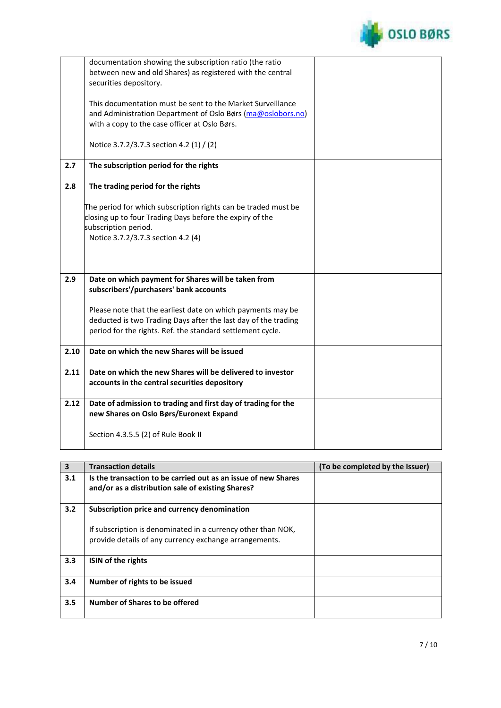

|      | documentation showing the subscription ratio (the ratio<br>between new and old Shares) as registered with the central<br>securities depository. |  |
|------|-------------------------------------------------------------------------------------------------------------------------------------------------|--|
|      | This documentation must be sent to the Market Surveillance                                                                                      |  |
|      | and Administration Department of Oslo Børs (ma@oslobors.no)                                                                                     |  |
|      | with a copy to the case officer at Oslo Børs.                                                                                                   |  |
|      | Notice 3.7.2/3.7.3 section 4.2 (1) / (2)                                                                                                        |  |
| 2.7  | The subscription period for the rights                                                                                                          |  |
| 2.8  | The trading period for the rights                                                                                                               |  |
|      | The period for which subscription rights can be traded must be                                                                                  |  |
|      | closing up to four Trading Days before the expiry of the<br>subscription period.                                                                |  |
|      | Notice 3.7.2/3.7.3 section 4.2 (4)                                                                                                              |  |
|      |                                                                                                                                                 |  |
|      |                                                                                                                                                 |  |
| 2.9  | Date on which payment for Shares will be taken from<br>subscribers'/purchasers' bank accounts                                                   |  |
|      |                                                                                                                                                 |  |
|      | Please note that the earliest date on which payments may be                                                                                     |  |
|      | deducted is two Trading Days after the last day of the trading<br>period for the rights. Ref. the standard settlement cycle.                    |  |
|      |                                                                                                                                                 |  |
| 2.10 | Date on which the new Shares will be issued                                                                                                     |  |
| 2.11 | Date on which the new Shares will be delivered to investor                                                                                      |  |
|      | accounts in the central securities depository                                                                                                   |  |
| 2.12 | Date of admission to trading and first day of trading for the                                                                                   |  |
|      | new Shares on Oslo Børs/Euronext Expand                                                                                                         |  |
|      | Section 4.3.5.5 (2) of Rule Book II                                                                                                             |  |

| $\overline{\mathbf{3}}$ | <b>Transaction details</b>                                                                                             | (To be completed by the Issuer) |
|-------------------------|------------------------------------------------------------------------------------------------------------------------|---------------------------------|
| 3.1                     | Is the transaction to be carried out as an issue of new Shares<br>and/or as a distribution sale of existing Shares?    |                                 |
| 3.2                     | Subscription price and currency denomination                                                                           |                                 |
|                         | If subscription is denominated in a currency other than NOK,<br>provide details of any currency exchange arrangements. |                                 |
| 3.3                     | ISIN of the rights                                                                                                     |                                 |
| 3.4                     | Number of rights to be issued                                                                                          |                                 |
| 3.5                     | Number of Shares to be offered                                                                                         |                                 |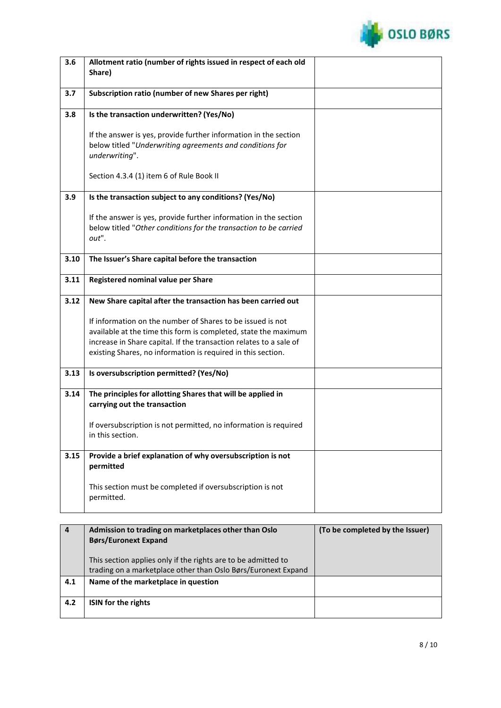

| 3.6  | Allotment ratio (number of rights issued in respect of each old                                                               |                                 |
|------|-------------------------------------------------------------------------------------------------------------------------------|---------------------------------|
|      | Share)                                                                                                                        |                                 |
|      |                                                                                                                               |                                 |
| 3.7  | Subscription ratio (number of new Shares per right)                                                                           |                                 |
| 3.8  | Is the transaction underwritten? (Yes/No)                                                                                     |                                 |
|      |                                                                                                                               |                                 |
|      | If the answer is yes, provide further information in the section                                                              |                                 |
|      | below titled "Underwriting agreements and conditions for                                                                      |                                 |
|      | underwriting".                                                                                                                |                                 |
|      |                                                                                                                               |                                 |
|      | Section 4.3.4 (1) item 6 of Rule Book II                                                                                      |                                 |
| 3.9  | Is the transaction subject to any conditions? (Yes/No)                                                                        |                                 |
|      |                                                                                                                               |                                 |
|      | If the answer is yes, provide further information in the section                                                              |                                 |
|      | below titled "Other conditions for the transaction to be carried                                                              |                                 |
|      | out".                                                                                                                         |                                 |
|      |                                                                                                                               |                                 |
| 3.10 | The Issuer's Share capital before the transaction                                                                             |                                 |
| 3.11 | Registered nominal value per Share                                                                                            |                                 |
|      |                                                                                                                               |                                 |
| 3.12 | New Share capital after the transaction has been carried out                                                                  |                                 |
|      |                                                                                                                               |                                 |
|      | If information on the number of Shares to be issued is not<br>available at the time this form is completed, state the maximum |                                 |
|      | increase in Share capital. If the transaction relates to a sale of                                                            |                                 |
|      | existing Shares, no information is required in this section.                                                                  |                                 |
|      |                                                                                                                               |                                 |
| 3.13 | Is oversubscription permitted? (Yes/No)                                                                                       |                                 |
|      |                                                                                                                               |                                 |
| 3.14 | The principles for allotting Shares that will be applied in                                                                   |                                 |
|      | carrying out the transaction                                                                                                  |                                 |
|      | If oversubscription is not permitted, no information is required                                                              |                                 |
|      | in this section.                                                                                                              |                                 |
|      |                                                                                                                               |                                 |
| 3.15 | Provide a brief explanation of why oversubscription is not                                                                    |                                 |
|      | permitted                                                                                                                     |                                 |
|      | This section must be completed if oversubscription is not                                                                     |                                 |
|      | permitted.                                                                                                                    |                                 |
|      |                                                                                                                               |                                 |
|      |                                                                                                                               |                                 |
| 4    | Admission to trading on marketplaces other than Oslo                                                                          | (To be completed by the Issuer) |
|      | <b>Børs/Euronext Expand</b>                                                                                                   |                                 |

|     | <b>Børs/Euronext Expand</b>                                                                                                    |  |
|-----|--------------------------------------------------------------------------------------------------------------------------------|--|
|     | This section applies only if the rights are to be admitted to<br>trading on a marketplace other than Oslo Børs/Euronext Expand |  |
| 4.1 | Name of the marketplace in question                                                                                            |  |
| 4.2 | <b>ISIN</b> for the rights                                                                                                     |  |
|     |                                                                                                                                |  |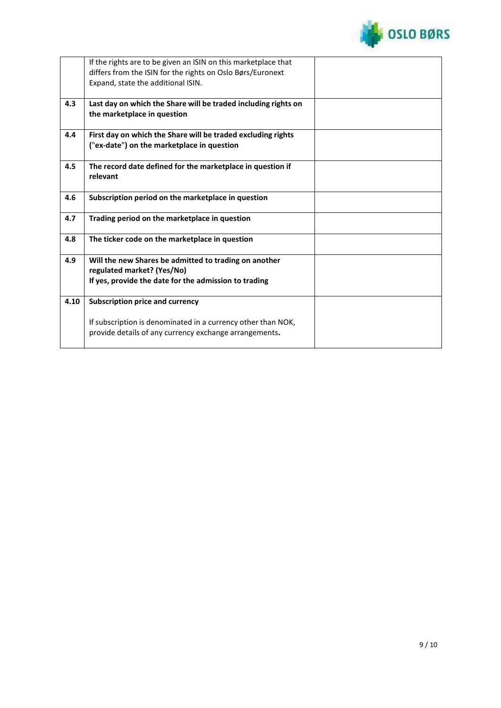

|      | If the rights are to be given an ISIN on this marketplace that<br>differs from the ISIN for the rights on Oslo Børs/Euronext<br>Expand, state the additional ISIN. |  |
|------|--------------------------------------------------------------------------------------------------------------------------------------------------------------------|--|
| 4.3  | Last day on which the Share will be traded including rights on<br>the marketplace in question                                                                      |  |
| 4.4  | First day on which the Share will be traded excluding rights<br>("ex-date") on the marketplace in question                                                         |  |
| 4.5  | The record date defined for the marketplace in question if<br>relevant                                                                                             |  |
| 4.6  | Subscription period on the marketplace in question                                                                                                                 |  |
| 4.7  | Trading period on the marketplace in question                                                                                                                      |  |
| 4.8  | The ticker code on the marketplace in question                                                                                                                     |  |
| 4.9  | Will the new Shares be admitted to trading on another<br>regulated market? (Yes/No)<br>If yes, provide the date for the admission to trading                       |  |
| 4.10 | <b>Subscription price and currency</b>                                                                                                                             |  |
|      | If subscription is denominated in a currency other than NOK,<br>provide details of any currency exchange arrangements.                                             |  |